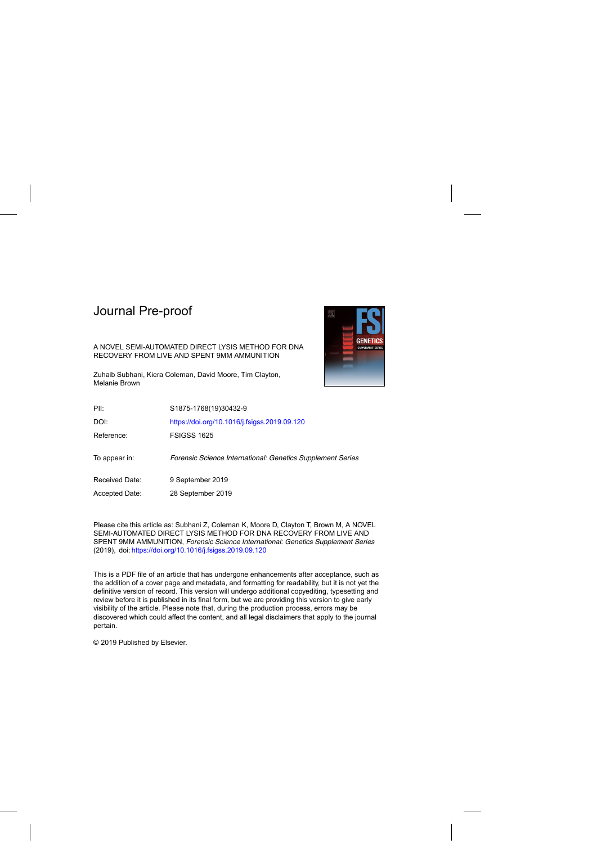# Journal Pre-proof



## A NOVEL SEMI-AUTOMATED DIRECT LYSIS METHOD FOR DNA RECOVERY FROM LIVE AND SPENT 9MM AMMUNITION

Zuhaib Subhani, Kiera Coleman, David Moore, Tim Clayton, Melanie Brown

| PII:           | S1875-1768(19)30432-9                                      |
|----------------|------------------------------------------------------------|
| DOI:           | https://doi.org/10.1016/j.fsigss.2019.09.120               |
| Reference:     | <b>FSIGSS 1625</b>                                         |
| To appear in:  | Forensic Science International: Genetics Supplement Series |
| Received Date: | 9 September 2019                                           |
| Accepted Date: | 28 September 2019                                          |
|                |                                                            |

Please cite this article as: Subhani Z, Coleman K, Moore D, Clayton T, Brown M, A NOVEL SEMI-AUTOMATED DIRECT LYSIS METHOD FOR DNA RECOVERY FROM LIVE AND SPENT 9MM AMMUNITION, Forensic Science International: Genetics Supplement Series (2019), doi: <https://doi.org/10.1016/j.fsigss.2019.09.120>

This is a PDF file of an article that has undergone enhancements after acceptance, such as the addition of a cover page and metadata, and formatting for readability, but it is not yet the definitive version of record. This version will undergo additional copyediting, typesetting and review before it is published in its final form, but we are providing this version to give early visibility of the article. Please note that, during the production process, errors may be discovered which could affect the content, and all legal disclaimers that apply to the journal pertain.

© 2019 Published by Elsevier.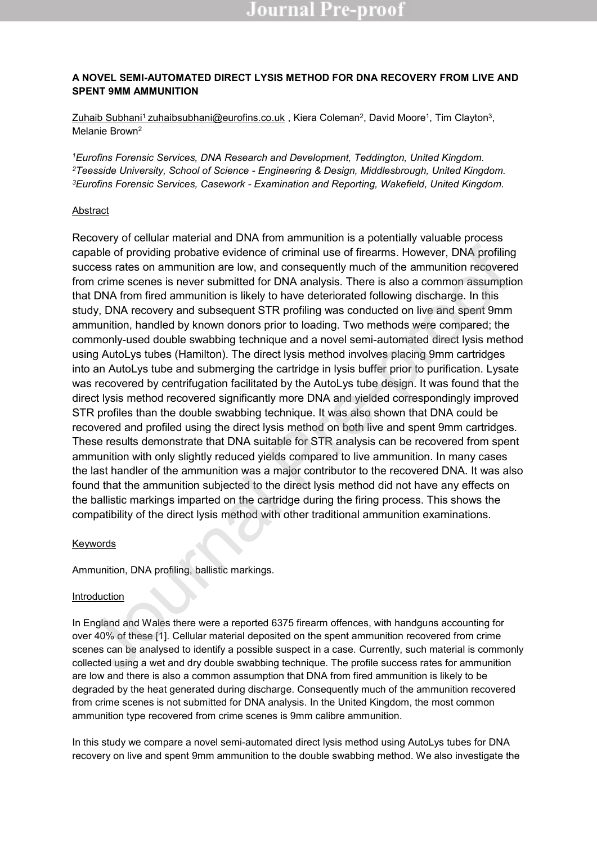## **A NOVEL SEMI-AUTOMATED DIRECT LYSIS METHOD FOR DNA RECOVERY FROM LIVE AND SPENT 9MM AMMUNITION**

<u>Zuhaib Subhani<sup>1</sup> zuhaibsubhani@eurofins.co.uk</u> , Kiera Coleman<sup>2</sup>, David Moore<sup>1</sup>, Tim Clayton<sup>3</sup>, Melanie Brown<sup>2</sup>

*<sup>1</sup>Eurofins Forensic Services, DNA Research and Development, Teddington, United Kingdom. <sup>2</sup>Teesside University, School of Science - Engineering & Design, Middlesbrough, United Kingdom. <sup>3</sup>Eurofins Forensic Services, Casework - Examination and Reporting, Wakefield, United Kingdom.*

## Abstract

Recovery of cellular material and DNA from ammunition is a potentially valuable process capable of providing probative evidence of criminal use of firearms. However, DNA profiling success rates on ammunition are low, and consequently much of the ammunition recovered from crime scenes is never submitted for DNA analysis. There is also a common assumption that DNA from fired ammunition is likely to have deteriorated following discharge. In this study, DNA recovery and subsequent STR profiling was conducted on live and spent 9mm ammunition, handled by known donors prior to loading. Two methods were compared; the commonly-used double swabbing technique and a novel semi-automated direct lysis method using AutoLys tubes (Hamilton). The direct lysis method involves placing 9mm cartridges into an AutoLys tube and submerging the cartridge in lysis buffer prior to purification. Lysate was recovered by centrifugation facilitated by the AutoLys tube design. It was found that the direct lysis method recovered significantly more DNA and yielded correspondingly improved STR profiles than the double swabbing technique. It was also shown that DNA could be recovered and profiled using the direct lysis method on both live and spent 9mm cartridges. These results demonstrate that DNA suitable for STR analysis can be recovered from spent ammunition with only slightly reduced yields compared to live ammunition. In many cases the last handler of the ammunition was a major contributor to the recovered DNA. It was also found that the ammunition subjected to the direct lysis method did not have any effects on the ballistic markings imparted on the cartridge during the firing process. This shows the compatibility of the direct lysis method with other traditional ammunition examinations. pable of providing probative evidence of criminal use of firearms. However, DNA profiling<br>pable of providing probative evidence of criminal use of firearms. However, DNA profiling<br>mm crime scenes is never submitted for DNA

## Keywords

Ammunition, DNA profiling, ballistic markings.

## Introduction

In England and Wales there were a reported 6375 firearm offences, with handguns accounting for over 40% of these [1]. Cellular material deposited on the spent ammunition recovered from crime scenes can be analysed to identify a possible suspect in a case. Currently, such material is commonly collected using a wet and dry double swabbing technique. The profile success rates for ammunition are low and there is also a common assumption that DNA from fired ammunition is likely to be degraded by the heat generated during discharge. Consequently much of the ammunition recovered from crime scenes is not submitted for DNA analysis. In the United Kingdom, the most common ammunition type recovered from crime scenes is 9mm calibre ammunition.

In this study we compare a novel semi-automated direct lysis method using AutoLys tubes for DNA recovery on live and spent 9mm ammunition to the double swabbing method. We also investigate the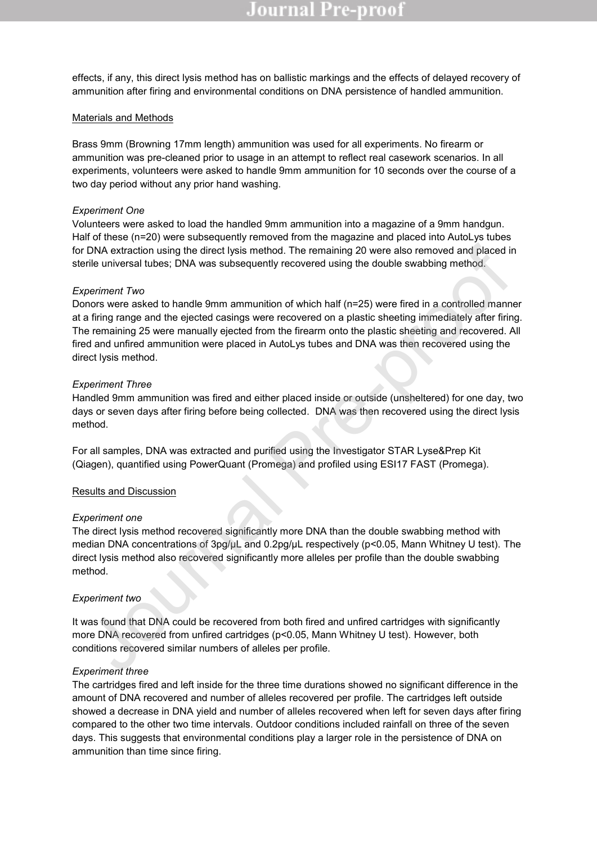# ournal Pre-proo

effects, if any, this direct lysis method has on ballistic markings and the effects of delayed recovery of ammunition after firing and environmental conditions on DNA persistence of handled ammunition.

### Materials and Methods

Brass 9mm (Browning 17mm length) ammunition was used for all experiments. No firearm or ammunition was pre-cleaned prior to usage in an attempt to reflect real casework scenarios. In all experiments, volunteers were asked to handle 9mm ammunition for 10 seconds over the course of a two day period without any prior hand washing.

#### *Experiment One*

Volunteers were asked to load the handled 9mm ammunition into a magazine of a 9mm handgun. Half of these (n=20) were subsequently removed from the magazine and placed into AutoLys tubes for DNA extraction using the direct lysis method. The remaining 20 were also removed and placed in sterile universal tubes; DNA was subsequently recovered using the double swabbing method.

#### *Experiment Two*

Donors were asked to handle 9mm ammunition of which half (n=25) were fired in a controlled manner at a firing range and the ejected casings were recovered on a plastic sheeting immediately after firing. The remaining 25 were manually ejected from the firearm onto the plastic sheeting and recovered. All fired and unfired ammunition were placed in AutoLys tubes and DNA was then recovered using the direct lysis method. DNA extraction using the direct lysis method. The remaining 20 were also removed and placed ir<br>rife universal tubes; DNA was subsequently recovered using the double swabbing method.<br>Devine more sweet to handle 9mm ammuniti

#### *Experiment Three*

Handled 9mm ammunition was fired and either placed inside or outside (unsheltered) for one day, two days or seven days after firing before being collected. DNA was then recovered using the direct lysis method.

For all samples, DNA was extracted and purified using the Investigator STAR Lyse&Prep Kit (Qiagen), quantified using PowerQuant (Promega) and profiled using ESI17 FAST (Promega).

#### Results and Discussion

#### *Experiment one*

The direct lysis method recovered significantly more DNA than the double swabbing method with median DNA concentrations of 3pg/µL and 0.2pg/µL respectively (p<0.05, Mann Whitney U test). The direct lysis method also recovered significantly more alleles per profile than the double swabbing method.

### *Experiment two*

It was found that DNA could be recovered from both fired and unfired cartridges with significantly more DNA recovered from unfired cartridges (p<0.05, Mann Whitney U test). However, both conditions recovered similar numbers of alleles per profile.

#### *Experiment three*

The cartridges fired and left inside for the three time durations showed no significant difference in the amount of DNA recovered and number of alleles recovered per profile. The cartridges left outside showed a decrease in DNA yield and number of alleles recovered when left for seven days after firing compared to the other two time intervals. Outdoor conditions included rainfall on three of the seven days. This suggests that environmental conditions play a larger role in the persistence of DNA on ammunition than time since firing.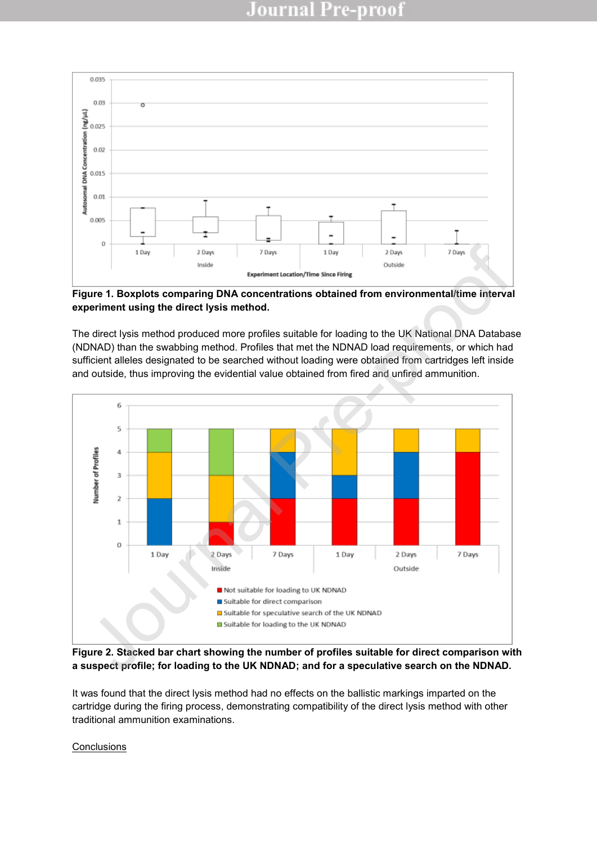

**Figure 1. Boxplots comparing DNA concentrations obtained from environmental/time interval experiment using the direct lysis method.** 

The direct lysis method produced more profiles suitable for loading to the UK National DNA Database (NDNAD) than the swabbing method. Profiles that met the NDNAD load requirements, or which had sufficient alleles designated to be searched without loading were obtained from cartridges left inside and outside, thus improving the evidential value obtained from fired and unfired ammunition.



**Figure 2. Stacked bar chart showing the number of profiles suitable for direct comparison with a suspect profile; for loading to the UK NDNAD; and for a speculative search on the NDNAD.** 

It was found that the direct lysis method had no effects on the ballistic markings imparted on the cartridge during the firing process, demonstrating compatibility of the direct lysis method with other traditional ammunition examinations.

**Conclusions**